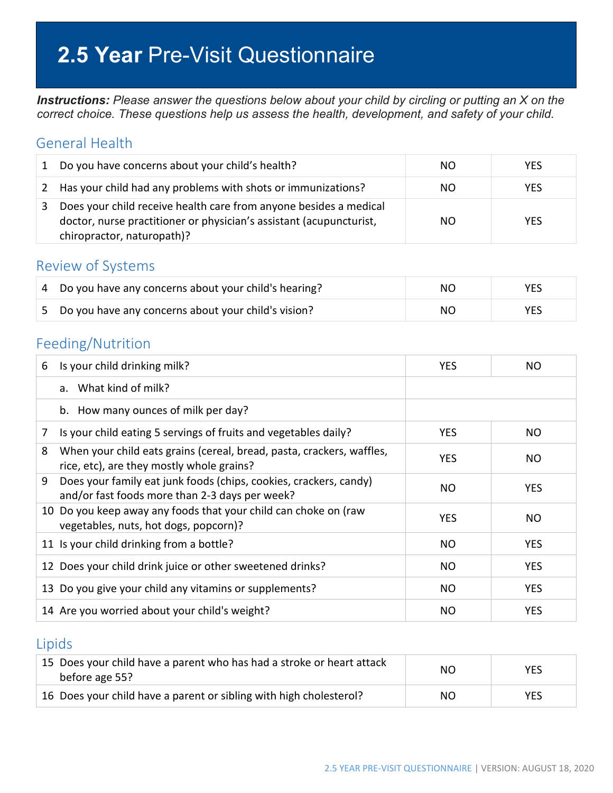# **2.5 Year** Pre-Visit Questionnaire

*Instructions: Please answer the questions below about your child by circling or putting an X on the correct choice. These questions help us assess the health, development, and safety of your child.*

#### General Health

| 1 | Do you have concerns about your child's health?                                                                                                                        | NO. | <b>YES</b> |
|---|------------------------------------------------------------------------------------------------------------------------------------------------------------------------|-----|------------|
|   | 2 Has your child had any problems with shots or immunizations?                                                                                                         | NO. | <b>YES</b> |
| 3 | Does your child receive health care from anyone besides a medical<br>doctor, nurse practitioner or physician's assistant (acupuncturist,<br>chiropractor, naturopath)? | NO. | <b>YFS</b> |

#### Review of Systems

| 4 Do you have any concerns about your child's hearing? | NO. | <b>YES</b> |
|--------------------------------------------------------|-----|------------|
| 5 Do you have any concerns about your child's vision?  | NO. | YES        |

### Feeding/Nutrition

| 6 | Is your child drinking milk?                                                                                        | <b>YES</b> | NO.        |
|---|---------------------------------------------------------------------------------------------------------------------|------------|------------|
|   | a. What kind of milk?                                                                                               |            |            |
|   | b. How many ounces of milk per day?                                                                                 |            |            |
| 7 | Is your child eating 5 servings of fruits and vegetables daily?                                                     | <b>YES</b> | NO.        |
| 8 | When your child eats grains (cereal, bread, pasta, crackers, waffles,<br>rice, etc), are they mostly whole grains?  | <b>YES</b> | NO.        |
| 9 | Does your family eat junk foods (chips, cookies, crackers, candy)<br>and/or fast foods more than 2-3 days per week? | NO         | <b>YES</b> |
|   | 10 Do you keep away any foods that your child can choke on (raw<br>vegetables, nuts, hot dogs, popcorn)?            | <b>YES</b> | NO.        |
|   | 11 Is your child drinking from a bottle?                                                                            | <b>NO</b>  | <b>YES</b> |
|   | 12 Does your child drink juice or other sweetened drinks?                                                           | NO.        | <b>YES</b> |
|   | 13 Do you give your child any vitamins or supplements?                                                              | NO.        | <b>YES</b> |
|   | 14 Are you worried about your child's weight?                                                                       | NO.        | <b>YES</b> |

#### Lipids

| 15 Does your child have a parent who has had a stroke or heart attack<br>before age 55? | NΟ | <b>YES</b> |
|-----------------------------------------------------------------------------------------|----|------------|
| 16 Does your child have a parent or sibling with high cholesterol?                      | NΟ | YES        |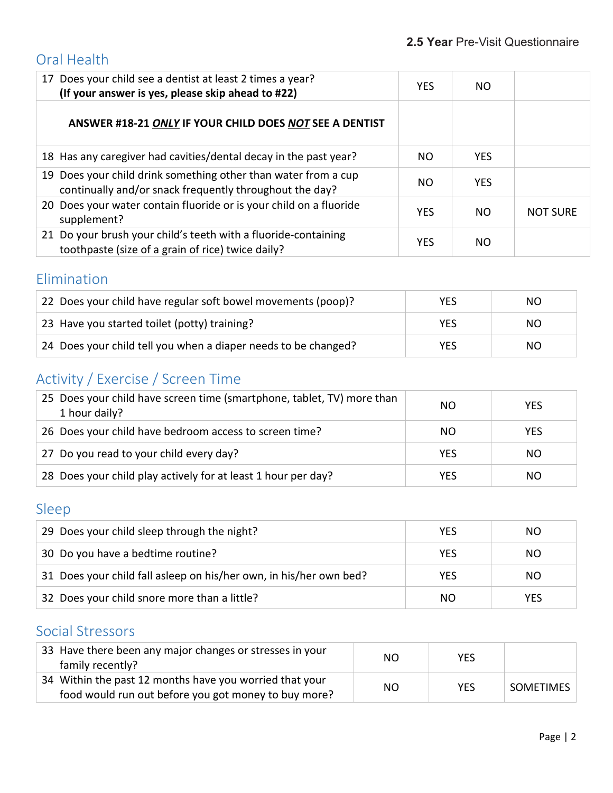## Oral Health

| 17 Does your child see a dentist at least 2 times a year?<br>(If your answer is yes, please skip ahead to #22)            | <b>YES</b> | NO.        |                 |
|---------------------------------------------------------------------------------------------------------------------------|------------|------------|-----------------|
| ANSWER #18-21 ONLY IF YOUR CHILD DOES NOT SEE A DENTIST                                                                   |            |            |                 |
| 18 Has any caregiver had cavities/dental decay in the past year?                                                          | NO.        | <b>YES</b> |                 |
| 19 Does your child drink something other than water from a cup<br>continually and/or snack frequently throughout the day? | NO.        | <b>YES</b> |                 |
| 20 Does your water contain fluoride or is your child on a fluoride<br>supplement?                                         | <b>YES</b> | NO.        | <b>NOT SURE</b> |
| 21 Do your brush your child's teeth with a fluoride-containing<br>toothpaste (size of a grain of rice) twice daily?       | <b>YES</b> | NO.        |                 |

# Elimination

| 22 Does your child have regular soft bowel movements (poop)?   | YES | NO  |
|----------------------------------------------------------------|-----|-----|
| 23 Have you started toilet (potty) training?                   | YES | NO. |
| 24 Does your child tell you when a diaper needs to be changed? | YES | NO. |

# Activity / Exercise / Screen Time

| 25 Does your child have screen time (smartphone, tablet, TV) more than<br>1 hour daily? | NO.        | <b>YES</b> |
|-----------------------------------------------------------------------------------------|------------|------------|
| 26 Does your child have bedroom access to screen time?                                  | NO.        | <b>YES</b> |
| 27 Do you read to your child every day?                                                 | <b>YES</b> | NO.        |
| 28 Does your child play actively for at least 1 hour per day?                           | <b>YES</b> | NO.        |

## Sleep

| 29 Does your child sleep through the night?                        | <b>YES</b> | NO.        |
|--------------------------------------------------------------------|------------|------------|
| 30 Do you have a bedtime routine?                                  | YES        | NO.        |
| 31 Does your child fall asleep on his/her own, in his/her own bed? | <b>YES</b> | NO.        |
| 32 Does your child snore more than a little?                       | NO.        | <b>YES</b> |

### Social Stressors

| 33 Have there been any major changes or stresses in your<br>family recently?                                    | NO. | <b>YES</b> |                  |
|-----------------------------------------------------------------------------------------------------------------|-----|------------|------------------|
| 34 Within the past 12 months have you worried that your<br>food would run out before you got money to buy more? | NO. | <b>YES</b> | <b>SOMETIMES</b> |